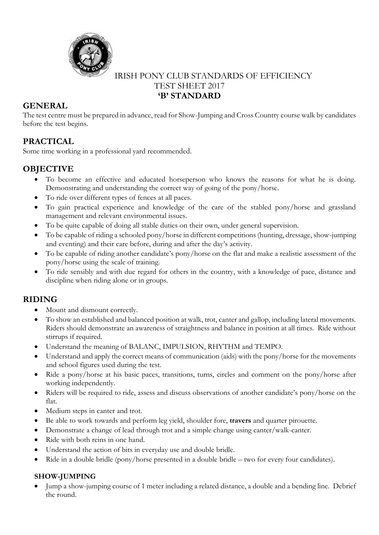

# IRISH PONY CLUB STANDARDS OF EFFICIENCY TEST SHEET 2017 **'B' STANDARD**

# **GENERAL**

The test centre must be prepared in advance, read for Show-Jumping and Cross Country course walk by candidates before the test begins.

# **PRACTICAL**

Some time working in a professional yard recommended.

# **OBJECTIVE**

- To become an effective and educated horseperson who knows the reasons for what he is doing. Demonstrating and understanding the correct way of going of the pony/horse.
- To ride over different types of fences at all paces.
- To gain practical experience and knowledge of the care of the stabled pony/horse and grassland management and relevant environmental issues.
- To be quite capable of doing all stable duties on their own, under general supervision.
- To be capable of riding a schooled pony/horse in different competitions (hunting, dressage, show-jumping and eventing) and their care before, during and after the day's activity.
- To be capable of riding another candidate's pony/horse on the flat and make a realistic assessment of the pony/horse using the scale of training.
- To ride sensibly and with due regard for others in the country, with a knowledge of pace, distance and discipline when riding alone or in groups.

# **RIDING**

- Mount and dismount correctly.
- To show an established and balanced position at walk, trot, canter and gallop, including lateral movements. Riders should demonstrate an awareness of straightness and balance in position at all times. Ride without stirrups if required.
- Understand the meaning of BALANC, IMPULSION, RHYTHM and TEMPO.
- Understand and apply the correct means of communication (aids) with the pony/horse for the movements and school figures used during the test.
- Ride a pony/horse at his basic paces, transitions, turns, circles and comment on the pony/horse after working independently.
- Riders will be required to ride, assess and discuss observations of another candidate's pony/horse on the flat.
- Medium steps in canter and trot.
- Be able to work towards and perform leg yield, shoulder fore, **travers** and quarter pirouette.
- Demonstrate a change of lead through trot and a simple change using canter/walk-canter.
- Ride with both reins in one hand.
- Understand the action of bits in everyday use and double bridle.
- Ride in a double bridle (pony/horse presented in a double bridle two for every four candidates).

#### **SHOW-JUMPING**

 Jump a show-jumping course of 1 meter including a related distance, a double and a bending line. Debrief the round.